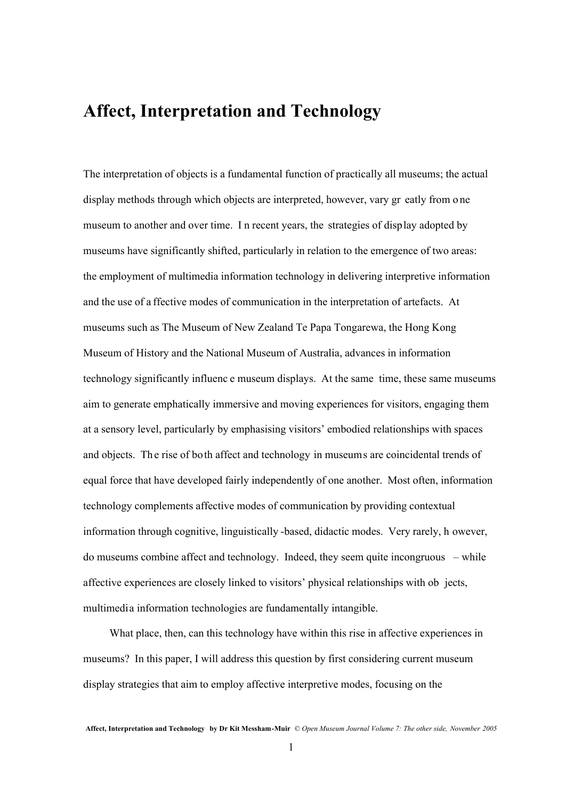## **Affect, Interpretation and Technology**

The interpretation of objects is a fundamental function of practically all museums; the actual display methods through which objects are interpreted, however, vary gr eatly from o ne museum to another and over time. I n recent years, the strategies of display adopted by museums have significantly shifted, particularly in relation to the emergence of two areas: the employment of multimedia information technology in delivering interpretive information and the use of a ffective modes of communication in the interpretation of artefacts. At museums such as The Museum of New Zealand Te Papa Tongarewa, the Hong Kong Museum of History and the National Museum of Australia, advances in information technology significantly influenc e museum displays. At the same time, these same museums aim to generate emphatically immersive and moving experiences for visitors, engaging them at a sensory level, particularly by emphasising visitors' embodied relationships with spaces and objects. Th e rise of both affect and technology in museums are coincidental trends of equal force that have developed fairly independently of one another. Most often, information technology complements affective modes of communication by providing contextual information through cognitive, linguistically -based, didactic modes. Very rarely, h owever, do museums combine affect and technology. Indeed, they seem quite incongruous – while affective experiences are closely linked to visitors' physical relationships with ob jects, multimedia information technologies are fundamentally intangible.

What place, then, can this technology have within this rise in affective experiences in museums? In this paper, I will address this question by first considering current museum display strategies that aim to employ affective interpretive modes, focusing on the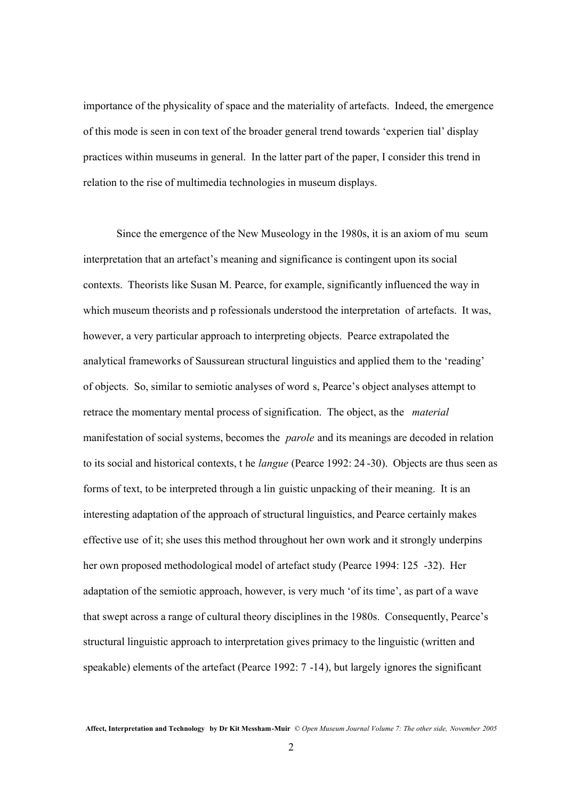importance of the physicality of space and the materiality of artefacts. Indeed, the emergence of this mode is seen in con text of the broader general trend towards 'experien tial' display practices within museums in general. In the latter part of the paper, I consider this trend in relation to the rise of multimedia technologies in museum displays.

Since the emergence of the New Museology in the 1980s, it is an axiom of mu seum interpretation that an artefact's meaning and significance is contingent upon its social contexts. Theorists like Susan M. Pearce, for example, significantly influenced the way in which museum theorists and p rofessionals understood the interpretation of artefacts. It was, however, a very particular approach to interpreting objects. Pearce extrapolated the analytical frameworks of Saussurean structural linguistics and applied them to the 'reading' of objects. So, similar to semiotic analyses of word s, Pearce's object analyses attempt to retrace the momentary mental process of signification. The object, as the *material* manifestation of social systems, becomes the *parole* and its meanings are decoded in relation to its social and historical contexts, t he *langue* (Pearce 1992: 24 -30). Objects are thus seen as forms of text, to be interpreted through a lin guistic unpacking of their meaning. It is an interesting adaptation of the approach of structural linguistics, and Pearce certainly makes effective use of it; she uses this method throughout her own work and it strongly underpins her own proposed methodological model of artefact study (Pearce 1994: 125 -32). Her adaptation of the semiotic approach, however, is very much 'of its time', as part of a wave that swept across a range of cultural theory disciplines in the 1980s. Consequently, Pearce's structural linguistic approach to interpretation gives primacy to the linguistic (written and speakable) elements of the artefact (Pearce 1992: 7 -14), but largely ignores the significant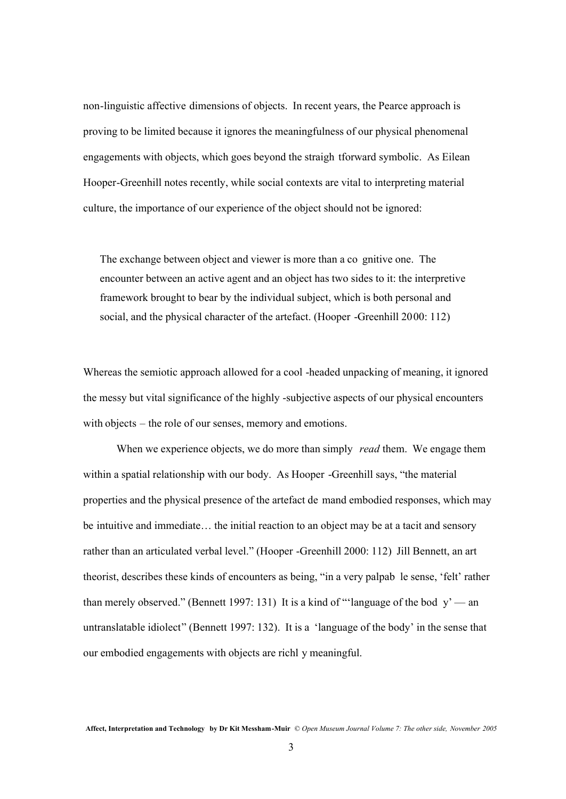non-linguistic affective dimensions of objects. In recent years, the Pearce approach is proving to be limited because it ignores the meaningfulness of our physical phenomenal engagements with objects, which goes beyond the straigh tforward symbolic. As Eilean Hooper-Greenhill notes recently, while social contexts are vital to interpreting material culture, the importance of our experience of the object should not be ignored:

The exchange between object and viewer is more than a co gnitive one. The encounter between an active agent and an object has two sides to it: the interpretive framework brought to bear by the individual subject, which is both personal and social, and the physical character of the artefact. (Hooper -Greenhill 2000: 112)

Whereas the semiotic approach allowed for a cool -headed unpacking of meaning, it ignored the messy but vital significance of the highly -subjective aspects of our physical encounters with objects – the role of our senses, memory and emotions.

When we experience objects, we do more than simply *read* them. We engage them within a spatial relationship with our body. As Hooper -Greenhill says, "the material properties and the physical presence of the artefact de mand embodied responses, which may be intuitive and immediate… the initial reaction to an object may be at a tacit and sensory rather than an articulated verbal level." (Hooper -Greenhill 2000: 112) Jill Bennett, an art theorist, describes these kinds of encounters as being, "in a very palpab le sense, 'felt' rather than merely observed." (Bennett 1997: 131) It is a kind of "'language of the bod  $y'$  — an untranslatable idiolect" (Bennett 1997: 132). It is a 'language of the body' in the sense that our embodied engagements with objects are richl y meaningful.

**Affect, Interpretation and Technology by Dr Kit Messham-Muir** © *Open Museum Journal Volume 7: The other side, November 2005*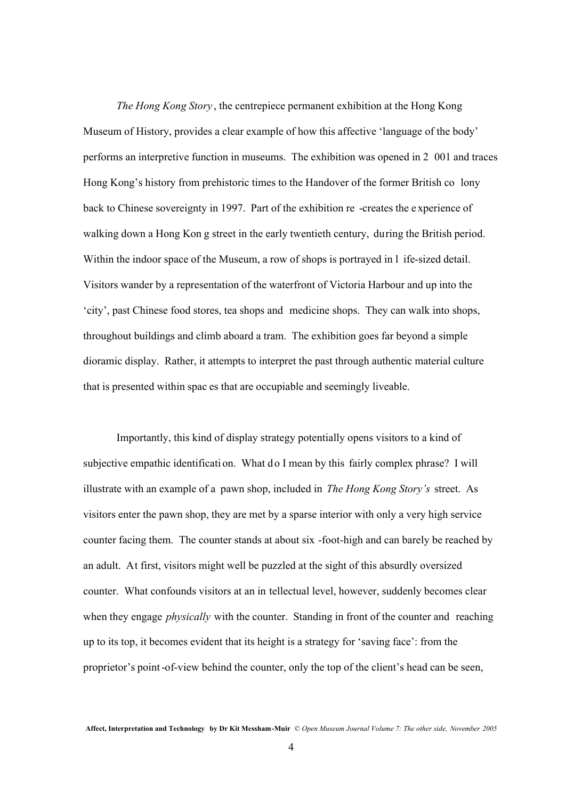*The Hong Kong Story* , the centrepiece permanent exhibition at the Hong Kong Museum of History, provides a clear example of how this affective 'language of the body' performs an interpretive function in museums. The exhibition was opened in 2 001 and traces Hong Kong's history from prehistoric times to the Handover of the former British co lony back to Chinese sovereignty in 1997. Part of the exhibition re -creates the e xperience of walking down a Hong Kon g street in the early twentieth century, during the British period. Within the indoor space of the Museum, a row of shops is portrayed in l ife-sized detail. Visitors wander by a representation of the waterfront of Victoria Harbour and up into the 'city', past Chinese food stores, tea shops and medicine shops. They can walk into shops, throughout buildings and climb aboard a tram. The exhibition goes far beyond a simple dioramic display. Rather, it attempts to interpret the past through authentic material culture that is presented within spac es that are occupiable and seemingly liveable.

Importantly, this kind of display strategy potentially opens visitors to a kind of subjective empathic identificati on. What do I mean by this fairly complex phrase? I will illustrate with an example of a pawn shop, included in *The Hong Kong Story's* street. As visitors enter the pawn shop, they are met by a sparse interior with only a very high service counter facing them. The counter stands at about six -foot-high and can barely be reached by an adult. At first, visitors might well be puzzled at the sight of this absurdly oversized counter. What confounds visitors at an in tellectual level, however, suddenly becomes clear when they engage *physically* with the counter. Standing in front of the counter and reaching up to its top, it becomes evident that its height is a strategy for 'saving face': from the proprietor's point-of-view behind the counter, only the top of the client's head can be seen,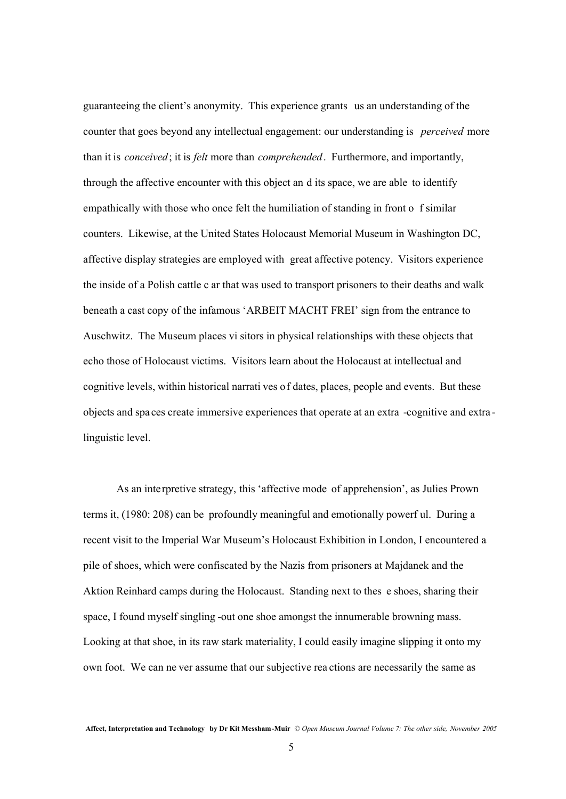guaranteeing the client's anonymity. This experience grants us an understanding of the counter that goes beyond any intellectual engagement: our understanding is *perceived* more than it is *conceived*; it is *felt* more than *comprehended*. Furthermore, and importantly, through the affective encounter with this object an d its space, we are able to identify empathically with those who once felt the humiliation of standing in front o f similar counters. Likewise, at the United States Holocaust Memorial Museum in Washington DC, affective display strategies are employed with great affective potency. Visitors experience the inside of a Polish cattle c ar that was used to transport prisoners to their deaths and walk beneath a cast copy of the infamous 'ARBEIT MACHT FREI' sign from the entrance to Auschwitz. The Museum places vi sitors in physical relationships with these objects that echo those of Holocaust victims. Visitors learn about the Holocaust at intellectual and cognitive levels, within historical narrati ves of dates, places, people and events. But these objects and spa ces create immersive experiences that operate at an extra -cognitive and extra linguistic level.

As an interpretive strategy, this 'affective mode of apprehension', as Julies Prown terms it, (1980: 208) can be profoundly meaningful and emotionally powerf ul. During a recent visit to the Imperial War Museum's Holocaust Exhibition in London, I encountered a pile of shoes, which were confiscated by the Nazis from prisoners at Majdanek and the Aktion Reinhard camps during the Holocaust. Standing next to thes e shoes, sharing their space, I found myself singling -out one shoe amongst the innumerable browning mass. Looking at that shoe, in its raw stark materiality, I could easily imagine slipping it onto my own foot. We can ne ver assume that our subjective rea ctions are necessarily the same as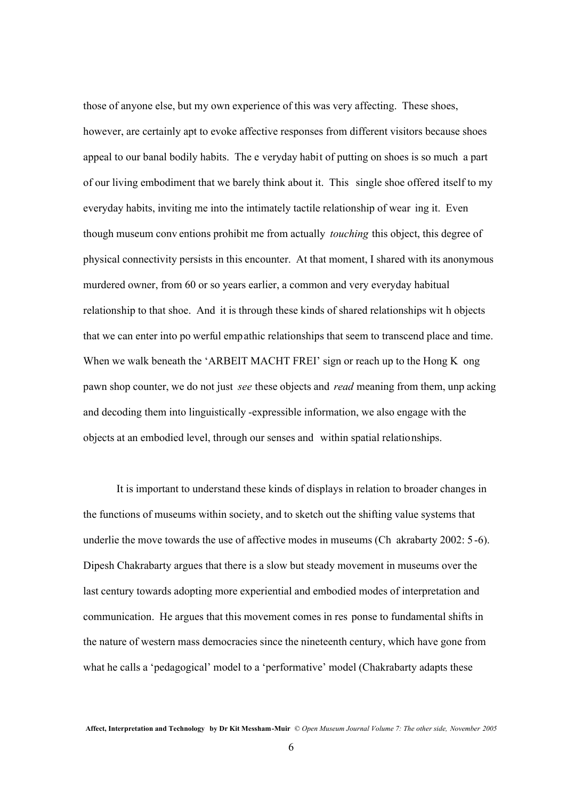those of anyone else, but my own experience of this was very affecting. These shoes, however, are certainly apt to evoke affective responses from different visitors because shoes appeal to our banal bodily habits. The e veryday habit of putting on shoes is so much a part of our living embodiment that we barely think about it. This single shoe offered itself to my everyday habits, inviting me into the intimately tactile relationship of wear ing it. Even though museum conv entions prohibit me from actually *touching* this object, this degree of physical connectivity persists in this encounter. At that moment, I shared with its anonymous murdered owner, from 60 or so years earlier, a common and very everyday habitual relationship to that shoe. And it is through these kinds of shared relationships wit h objects that we can enter into po werful empathic relationships that seem to transcend place and time. When we walk beneath the 'ARBEIT MACHT FREI' sign or reach up to the Hong K ong pawn shop counter, we do not just *see* these objects and *read* meaning from them, unp acking and decoding them into linguistically -expressible information, we also engage with the objects at an embodied level, through our senses and within spatial relationships.

It is important to understand these kinds of displays in relation to broader changes in the functions of museums within society, and to sketch out the shifting value systems that underlie the move towards the use of affective modes in museums (Ch akrabarty 2002: 5 -6). Dipesh Chakrabarty argues that there is a slow but steady movement in museums over the last century towards adopting more experiential and embodied modes of interpretation and communication. He argues that this movement comes in res ponse to fundamental shifts in the nature of western mass democracies since the nineteenth century, which have gone from what he calls a 'pedagogical' model to a 'performative' model (Chakrabarty adapts these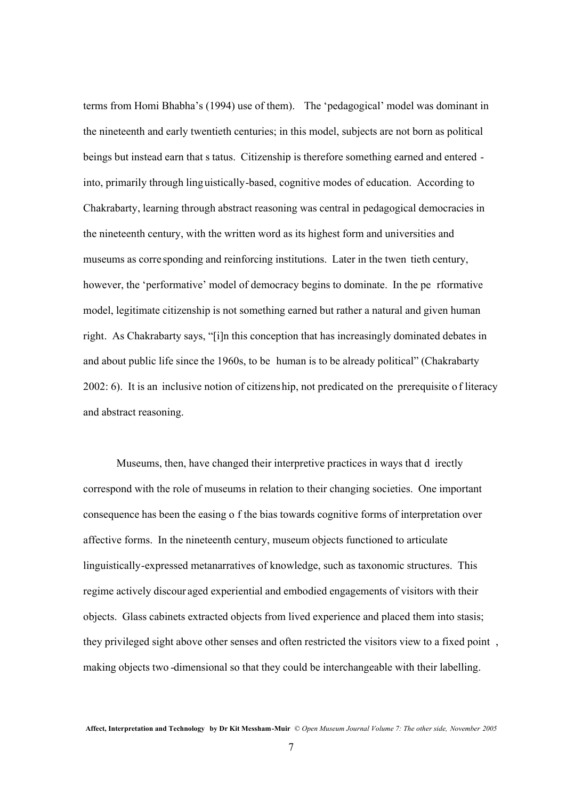terms from Homi Bhabha's (1994) use of them). The 'pedagogical' model was dominant in the nineteenth and early twentieth centuries; in this model, subjects are not born as political beings but instead earn that s tatus. Citizenship is therefore something earned and entered into, primarily through ling uistically-based, cognitive modes of education. According to Chakrabarty, learning through abstract reasoning was central in pedagogical democracies in the nineteenth century, with the written word as its highest form and universities and museums as corre sponding and reinforcing institutions. Later in the twen tieth century, however, the 'performative' model of democracy begins to dominate. In the pe rformative model, legitimate citizenship is not something earned but rather a natural and given human right. As Chakrabarty says, "[i]n this conception that has increasingly dominated debates in and about public life since the 1960s, to be human is to be already political" (Chakrabarty 2002: 6). It is an inclusive notion of citizenship, not predicated on the prerequisite o f literacy and abstract reasoning.

Museums, then, have changed their interpretive practices in ways that d irectly correspond with the role of museums in relation to their changing societies. One important consequence has been the easing o f the bias towards cognitive forms of interpretation over affective forms. In the nineteenth century, museum objects functioned to articulate linguistically-expressed metanarratives of knowledge, such as taxonomic structures. This regime actively discour aged experiential and embodied engagements of visitors with their objects. Glass cabinets extracted objects from lived experience and placed them into stasis; they privileged sight above other senses and often restricted the visitors view to a fixed point , making objects two -dimensional so that they could be interchangeable with their labelling.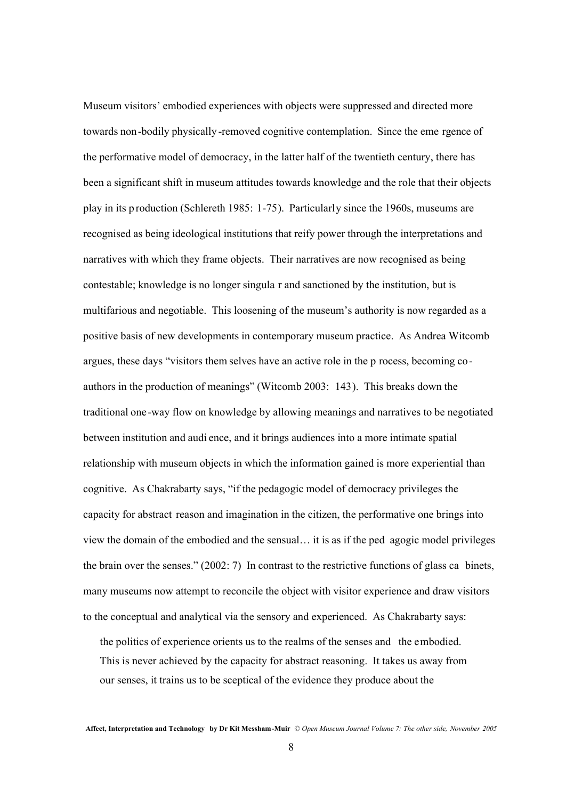Museum visitors' embodied experiences with objects were suppressed and directed more towards non-bodily physically -removed cognitive contemplation. Since the eme rgence of the performative model of democracy, in the latter half of the twentieth century, there has been a significant shift in museum attitudes towards knowledge and the role that their objects play in its p roduction (Schlereth 1985: 1-75). Particularly since the 1960s, museums are recognised as being ideological institutions that reify power through the interpretations and narratives with which they frame objects. Their narratives are now recognised as being contestable; knowledge is no longer singula r and sanctioned by the institution, but is multifarious and negotiable. This loosening of the museum's authority is now regarded as a positive basis of new developments in contemporary museum practice. As Andrea Witcomb argues, these days "visitors them selves have an active role in the p rocess, becoming coauthors in the production of meanings" (Witcomb 2003: 143). This breaks down the traditional one -way flow on knowledge by allowing meanings and narratives to be negotiated between institution and audi ence, and it brings audiences into a more intimate spatial relationship with museum objects in which the information gained is more experiential than cognitive. As Chakrabarty says, "if the pedagogic model of democracy privileges the capacity for abstract reason and imagination in the citizen, the performative one brings into view the domain of the embodied and the sensual… it is as if the ped agogic model privileges the brain over the senses." (2002: 7) In contrast to the restrictive functions of glass ca binets, many museums now attempt to reconcile the object with visitor experience and draw visitors to the conceptual and analytical via the sensory and experienced. As Chakrabarty says:

the politics of experience orients us to the realms of the senses and the embodied. This is never achieved by the capacity for abstract reasoning. It takes us away from our senses, it trains us to be sceptical of the evidence they produce about the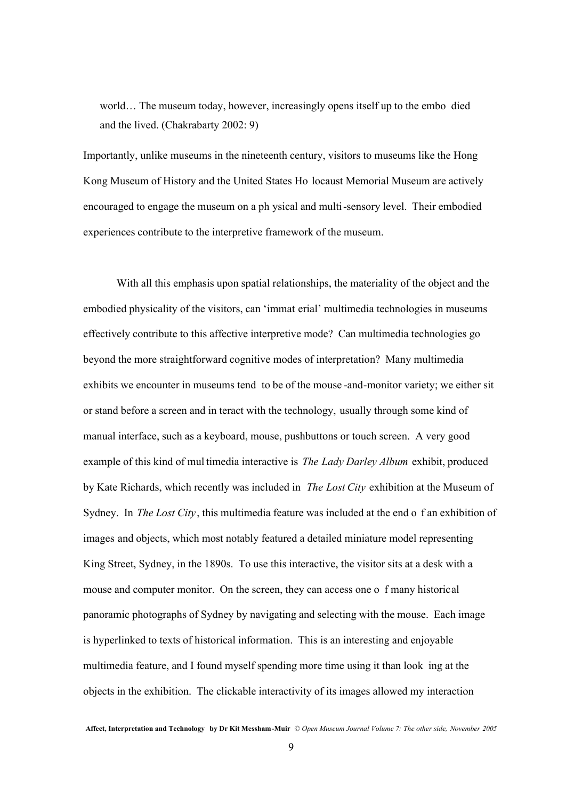world… The museum today, however, increasingly opens itself up to the embo died and the lived. (Chakrabarty 2002: 9)

Importantly, unlike museums in the nineteenth century, visitors to museums like the Hong Kong Museum of History and the United States Ho locaust Memorial Museum are actively encouraged to engage the museum on a ph ysical and multi-sensory level. Their embodied experiences contribute to the interpretive framework of the museum.

With all this emphasis upon spatial relationships, the materiality of the object and the embodied physicality of the visitors, can 'immat erial' multimedia technologies in museums effectively contribute to this affective interpretive mode? Can multimedia technologies go beyond the more straightforward cognitive modes of interpretation? Many multimedia exhibits we encounter in museums tend to be of the mouse -and-monitor variety; we either sit or stand before a screen and in teract with the technology, usually through some kind of manual interface, such as a keyboard, mouse, pushbuttons or touch screen. A very good example of this kind of mul timedia interactive is *The Lady Darley Album* exhibit, produced by Kate Richards, which recently was included in *The Lost City* exhibition at the Museum of Sydney. In *The Lost City*, this multimedia feature was included at the end o f an exhibition of images and objects, which most notably featured a detailed miniature model representing King Street, Sydney, in the 1890s. To use this interactive, the visitor sits at a desk with a mouse and computer monitor. On the screen, they can access one o f many historical panoramic photographs of Sydney by navigating and selecting with the mouse. Each image is hyperlinked to texts of historical information. This is an interesting and enjoyable multimedia feature, and I found myself spending more time using it than look ing at the objects in the exhibition. The clickable interactivity of its images allowed my interaction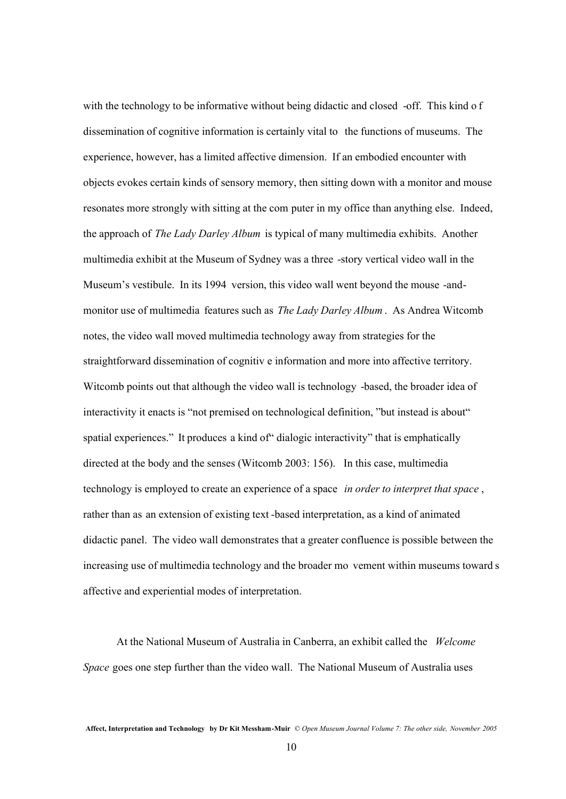with the technology to be informative without being didactic and closed -off. This kind of dissemination of cognitive information is certainly vital to the functions of museums. The experience, however, has a limited affective dimension. If an embodied encounter with objects evokes certain kinds of sensory memory, then sitting down with a monitor and mouse resonates more strongly with sitting at the com puter in my office than anything else. Indeed, the approach of *The Lady Darley Album* is typical of many multimedia exhibits. Another multimedia exhibit at the Museum of Sydney was a three -story vertical video wall in the Museum's vestibule. In its 1994 version, this video wall went beyond the mouse -andmonitor use of multimedia features such as *The Lady Darley Album* . As Andrea Witcomb notes, the video wall moved multimedia technology away from strategies for the straightforward dissemination of cognitiv e information and more into affective territory. Witcomb points out that although the video wall is technology -based, the broader idea of interactivity it enacts is "not premised on technological definition, "but instead is about" spatial experiences." It produces a kind of "dialogic interactivity" that is emphatically directed at the body and the senses (Witcomb 2003: 156). In this case, multimedia technology is employed to create an experience of a space *in order to interpret that space* , rather than as an extension of existing text -based interpretation, as a kind of animated didactic panel. The video wall demonstrates that a greater confluence is possible between the increasing use of multimedia technology and the broader mo vement within museums toward s affective and experiential modes of interpretation.

At the National Museum of Australia in Canberra, an exhibit called the *Welcome Space* goes one step further than the video wall. The National Museum of Australia uses

**Affect, Interpretation and Technology by Dr Kit Messham-Muir** © *Open Museum Journal Volume 7: The other side, November 2005*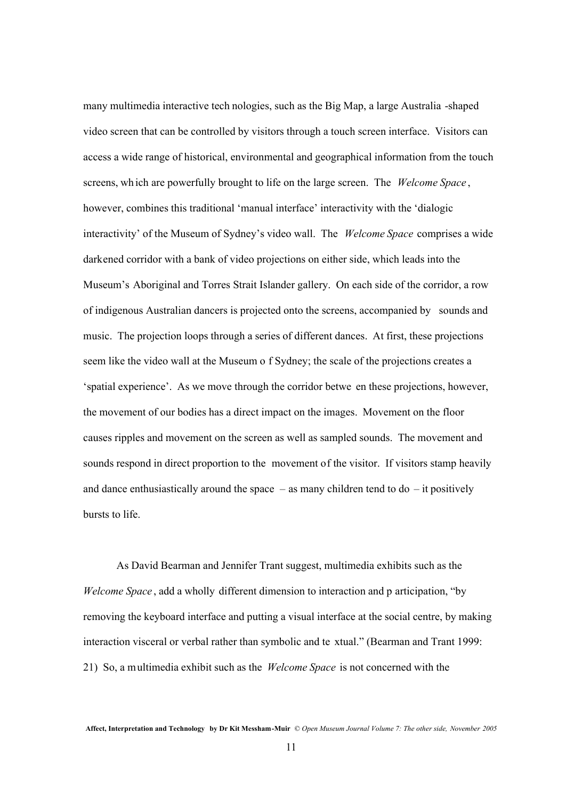many multimedia interactive tech nologies, such as the Big Map, a large Australia -shaped video screen that can be controlled by visitors through a touch screen interface. Visitors can access a wide range of historical, environmental and geographical information from the touch screens, wh ich are powerfully brought to life on the large screen. The *Welcome Space* , however, combines this traditional 'manual interface' interactivity with the 'dialogic interactivity' of the Museum of Sydney's video wall. The *Welcome Space* comprises a wide darkened corridor with a bank of video projections on either side, which leads into the Museum's Aboriginal and Torres Strait Islander gallery. On each side of the corridor, a row of indigenous Australian dancers is projected onto the screens, accompanied by sounds and music. The projection loops through a series of different dances. At first, these projections seem like the video wall at the Museum o f Sydney; the scale of the projections creates a 'spatial experience'. As we move through the corridor betwe en these projections, however, the movement of our bodies has a direct impact on the images. Movement on the floor causes ripples and movement on the screen as well as sampled sounds. The movement and sounds respond in direct proportion to the movement of the visitor. If visitors stamp heavily and dance enthusiastically around the space  $-$  as many children tend to do  $-$  it positively bursts to life.

As David Bearman and Jennifer Trant suggest, multimedia exhibits such as the *Welcome Space* , add a wholly different dimension to interaction and p articipation, "by removing the keyboard interface and putting a visual interface at the social centre, by making interaction visceral or verbal rather than symbolic and te xtual." (Bearman and Trant 1999: 21) So, a multimedia exhibit such as the *Welcome Space* is not concerned with the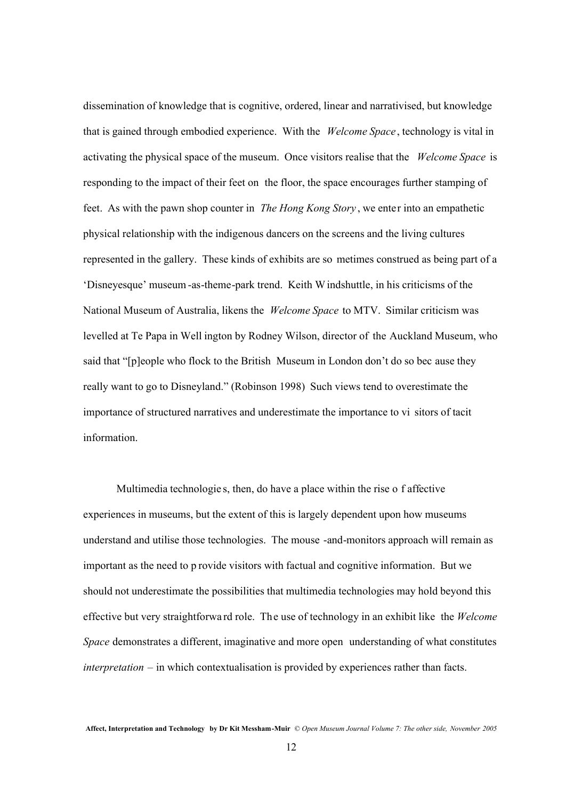dissemination of knowledge that is cognitive, ordered, linear and narrativised, but knowledge that is gained through embodied experience. With the *Welcome Space* , technology is vital in activating the physical space of the museum. Once visitors realise that the *Welcome Space* is responding to the impact of their feet on the floor, the space encourages further stamping of feet. As with the pawn shop counter in *The Hong Kong Story* , we enter into an empathetic physical relationship with the indigenous dancers on the screens and the living cultures represented in the gallery. These kinds of exhibits are so metimes construed as being part of a 'Disneyesque' museum -as-theme-park trend. Keith Windshuttle, in his criticisms of the National Museum of Australia, likens the *Welcome Space* to MTV. Similar criticism was levelled at Te Papa in Well ington by Rodney Wilson, director of the Auckland Museum, who said that "[p]eople who flock to the British Museum in London don't do so bec ause they really want to go to Disneyland." (Robinson 1998) Such views tend to overestimate the importance of structured narratives and underestimate the importance to vi sitors of tacit information.

Multimedia technologie s, then, do have a place within the rise o f affective experiences in museums, but the extent of this is largely dependent upon how museums understand and utilise those technologies. The mouse -and-monitors approach will remain as important as the need to p rovide visitors with factual and cognitive information. But we should not underestimate the possibilities that multimedia technologies may hold beyond this effective but very straightforwa rd role. The use of technology in an exhibit like the *Welcome Space* demonstrates a different, imaginative and more open understanding of what constitutes *interpretation* – in which contextualisation is provided by experiences rather than facts.

**Affect, Interpretation and Technology by Dr Kit Messham-Muir** © *Open Museum Journal Volume 7: The other side, November 2005*